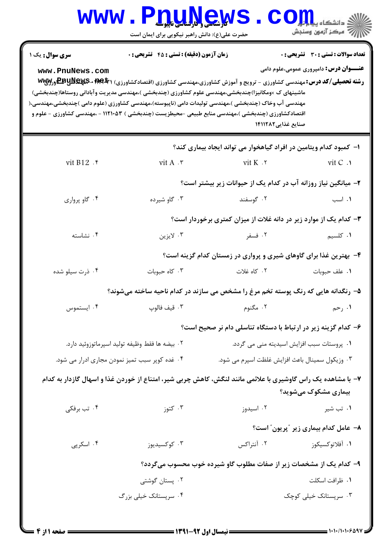| <b>WWW</b>                                                                                           | <b>V.Q.U.N.G.W</b><br>حضرت علی(ع): دانش راهبر نیکویی برای ایمان است |                                                                                                                                                                                                                                    | ة دانشگاه يي <mark>ا ، ا</mark>               |  |  |
|------------------------------------------------------------------------------------------------------|---------------------------------------------------------------------|------------------------------------------------------------------------------------------------------------------------------------------------------------------------------------------------------------------------------------|-----------------------------------------------|--|--|
| <b>سری سوال :</b> یک ۱                                                                               | زمان آزمون (دقیقه) : تستی : 45 آتشریحی : 0                          |                                                                                                                                                                                                                                    | تعداد سوالات : تستي : 30 ٪ تشريحي : 0         |  |  |
| www.PnuNews.com                                                                                      |                                                                     | <b>رشته تحصیلی/کد درس:</b> مهندسی کشاورزی - ترویج و آموزش کشاورزی،مهندسی کشاورزی (اقتصادکشاورزی) <b>۱ WEY + EEUNEL</b> ورWY<br>ماشینهای ک ×ومکانیزا)چندبخشی،مهندسی علوم کشاورزی (چندبخشی )،مهندسی مدیریت وآبادانی روستاها(چندبخشی) | <b>عنـــوان درس:</b> دامپروری عمومی،علوم دامی |  |  |
| مهندسی آب وخاک (چندبخشی )،مهندسی تولیدات دامی (ناپیوسته)،مهندسی کشاورزی (علوم دامی )چندبخشی،مهندسی،( |                                                                     | اقتصادکشاورزی (چندبخشی )،مهندسی منابع طبیعی -محیطزیست (چندبخشی ) ۱۱۲۱۰۵۳ - ،مهندسی کشاورزی - علوم و<br>صنایع غذایی۱۴۱۱۲۸۲                                                                                                          |                                               |  |  |
|                                                                                                      |                                                                     | ا– کمبود کدام ویتامین در افراد گیاهخوار می تواند ایجاد بیماری کند؟                                                                                                                                                                 |                                               |  |  |
| vit B12 .*                                                                                           | vit A .r                                                            | vit $K \cdot Y$                                                                                                                                                                                                                    | vit C .                                       |  |  |
|                                                                                                      | ۲- میانگین نیاز روزانه آب در کدام یک از حیوانات زیر بیشتر است؟      |                                                                                                                                                                                                                                    |                                               |  |  |
| ۰۴ گاو پرواري                                                                                        | ۰۳ گاو شیرده                                                        | ۰۲ گوسفند                                                                                                                                                                                                                          | ۰۱ اسب                                        |  |  |
|                                                                                                      |                                                                     | ۳- کدام یک از موارد زیر در دانه غلات از میزان کمتری برخوردار است؟                                                                                                                                                                  |                                               |  |  |
| ۰۴ نشاسته                                                                                            | ۰۳ لايزين                                                           | ۰۲ فسفر                                                                                                                                                                                                                            | <b>۱.</b> کلسیم                               |  |  |
|                                                                                                      |                                                                     | ۴- بهترین غذا برای گاوهای شیری و پرواری در زمستان کدام گزینه است؟                                                                                                                                                                  |                                               |  |  |
| ۰۴ ذرت سیلو شده                                                                                      | ۰۳ کاه حبوبات                                                       | ۰۲ کاه غلات                                                                                                                                                                                                                        | ٠١. علف حبوبات                                |  |  |
|                                                                                                      |                                                                     | ۵– رنگدانه هایی که رنگ پوسته تخم مرغ را مشخص می سازند در کدام ناحیه ساخته میشوند؟                                                                                                                                                  |                                               |  |  |
| ۰۴ ایستموس                                                                                           |                                                                     | ٢. مگنوم هستندان به تالوپ                                                                                                                                                                                                          | ۰۱ رحم                                        |  |  |
|                                                                                                      |                                                                     | ۶– کدام گزینه زیر در ارتباط با دستگاه تناسلی دام نر صحیح است؟                                                                                                                                                                      |                                               |  |  |
| ۰۲ بيضه ها فقط وظيفه توليد اسپرماتوزوئيد دارد.                                                       |                                                                     |                                                                                                                                                                                                                                    | ٠١. پروستات سبب افزايش اسيديته مني مي گردد.   |  |  |
|                                                                                                      | ۰۴ غده کوپر سبب تمیز نمودن مجاری ادرار می شود.                      | ۰۳ وزیکول سمینال باعث افزایش غلظت اسپرم می شود.                                                                                                                                                                                    |                                               |  |  |
|                                                                                                      |                                                                     | ۷– با مشاهده یک راس گاوشیری با علائمی مانند لنگش، کاهش چربی شیر، امتناع از خوردن غذا و اسهال گازدار به کدام                                                                                                                        | بیماری مشکوک میشوید؟                          |  |  |
| ۰۴ تب برفکی                                                                                          | ۰۳ کتوز                                                             | ۰۲ اسیدوز                                                                                                                                                                                                                          | ۰۱ تب شیر                                     |  |  |
|                                                                                                      |                                                                     |                                                                                                                                                                                                                                    | ۸– عامل کدام بیماری زیر ″پریون″ است؟          |  |  |
| ۰۴ اسکرپی                                                                                            | ۰۳ کوکسیدیوز                                                        | ۰۲ آنتراکس                                                                                                                                                                                                                         | ۰۱ آفلاتوكسيكوز                               |  |  |
| ۹- کدام یک از مشخصات زیر از صفات مطلوب گاو شیرده خوب محسوب میگردد؟                                   |                                                                     |                                                                                                                                                                                                                                    |                                               |  |  |
|                                                                                                      | ۰۲ پستان گوشتی                                                      |                                                                                                                                                                                                                                    | ٠١. ظرافت اسكلت                               |  |  |
|                                                                                                      | ۰۴ سرپستانک خیلی بزرگ                                               |                                                                                                                                                                                                                                    | ۰۳ سرپستانک خیلی کوچک                         |  |  |

1.1.1.1.9091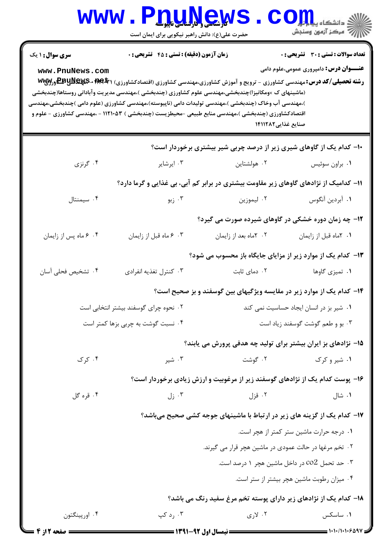| <b>WWW</b>                                                             | We Share Line<br>حضرت علی(ع): دانش راهبر نیکویی برای ایمان است                                                                                                                                                                                                                                                                                                                                                                                                                                            |                                                                                       | ر آن مرڪز آزمون وسنڊش                                                                         |  |  |
|------------------------------------------------------------------------|-----------------------------------------------------------------------------------------------------------------------------------------------------------------------------------------------------------------------------------------------------------------------------------------------------------------------------------------------------------------------------------------------------------------------------------------------------------------------------------------------------------|---------------------------------------------------------------------------------------|-----------------------------------------------------------------------------------------------|--|--|
| <b>سری سوال : ۱ یک</b><br>www.PnuNews.com                              | <b>زمان آزمون (دقیقه) : تستی : 45 تشریحی : 0</b><br><b>رشته تحصیلی/کد درس:</b> مهندسی کشاورزی - ترویج و آموزش کشاورزی،مهندسی کشاورزی (اقتصادکشاورزی) <b>۱ Www. - EBUNEWS و Ww</b> y<br>(ماشینهای ک ×ومکانیزا)چندبخشی،مهندسی علوم کشاورزی (چندبخشی )،مهندسی مدیریت وآبادانی روستاها(چندبخشی<br>)،مهندسی آب وخاک (چندبخشی )،مهندسی تولیدات دامی (ناپیوسته)،مهندسی کشاورزی (علوم دامی )چندبخشی،مهندسی<br>اقتصادکشاورزی (چندبخشی )،مهندسی منابع طبیعی -محیطزیست (چندبخشی ) ۱۱۲۱۰۵۳ - ،مهندسی کشاورزی - علوم و | صنایع غذایی۱۴۱۱۲۸۲                                                                    | <b>تعداد سوالات : تستی : 30 ٪ تشریحی : 0</b><br><b>عنـــوان درس:</b> دامپروری عمومی،علوم دامی |  |  |
|                                                                        |                                                                                                                                                                                                                                                                                                                                                                                                                                                                                                           | <b>۰۱</b> - کدام یک از گاوهای شیری زیر از درصد چربی شیر بیشتری برخوردار است؟          |                                                                                               |  |  |
| ۰۴ گرنزی                                                               | ۰۳ ایرشایر                                                                                                                                                                                                                                                                                                                                                                                                                                                                                                | ۰۲ هولشتاین                                                                           | ٠١ براون سوئيس                                                                                |  |  |
|                                                                        |                                                                                                                                                                                                                                                                                                                                                                                                                                                                                                           | 1۱– کدامیک از نژادهای گاوهای زیر مقاومت بیشتری در برابر کم آبی، بی غذایی و گرما دارد؟ |                                                                                               |  |  |
| ۰۴ سیمنتال                                                             | ۰۳ زبو                                                                                                                                                                                                                                                                                                                                                                                                                                                                                                    | ۰۲ ليموزين                                                                            | ٠١. آبردين آنگوس                                                                              |  |  |
|                                                                        | ۱۲- چه زمان دوره خشکی در گاوهای شیرده صورت می گیرد؟                                                                                                                                                                                                                                                                                                                                                                                                                                                       |                                                                                       |                                                                                               |  |  |
| ۰۴ ماه پس از زایمان                                                    | ۰۳ ماه قبل از زايمان                                                                                                                                                                                                                                                                                                                                                                                                                                                                                      | ۰۲ کاماه بعد از زایمان                                                                | ٠١. ٢ماه قبل از زايمان                                                                        |  |  |
|                                                                        |                                                                                                                                                                                                                                                                                                                                                                                                                                                                                                           | ۱۳- کدام یک از موارد زیر از مزایای جایگاه باز محسوب می شود؟                           |                                                                                               |  |  |
| ۰۴ تشخیص فحلی آسان                                                     | ۰۳ کنترل تغذیه انفرادی                                                                                                                                                                                                                                                                                                                                                                                                                                                                                    | ۰۲ دمای ثابت                                                                          | ۰۱ تمیزی گاوها                                                                                |  |  |
|                                                                        |                                                                                                                                                                                                                                                                                                                                                                                                                                                                                                           | ۱۴– کدام یک از موارد زیر در مقایسه ویژگیهای بین گوسفند و بز صحیح است؟                 |                                                                                               |  |  |
|                                                                        | ۰۲ نحوه چرای گوسفند بیشتر انتخابی است<br>۰۱ شیر بز در انسان ایجاد حساسیت نمی کند                                                                                                                                                                                                                                                                                                                                                                                                                          |                                                                                       |                                                                                               |  |  |
| ۰۳ بو و طعم گوشت گوسفند زياد است<br>۰۴ نسبت گوشت به چربی بزها کمتر است |                                                                                                                                                                                                                                                                                                                                                                                                                                                                                                           |                                                                                       |                                                                                               |  |  |
|                                                                        |                                                                                                                                                                                                                                                                                                                                                                                                                                                                                                           | ۱۵– نژادهای بز ایران بیشتر برای تولید چه هدفی پرورش می یابند؟                         |                                                                                               |  |  |
| ۰۴ کړ ک                                                                | ۰۳ شیر                                                                                                                                                                                                                                                                                                                                                                                                                                                                                                    | ۰۲ گوشت                                                                               | ۰۱ شیر و کرک                                                                                  |  |  |
|                                                                        |                                                                                                                                                                                                                                                                                                                                                                                                                                                                                                           | ۱۶– پوست کدام یک از نژادهای گوسفند زیر از مرغوبیت و ارزش زیادی برخوردار است؟          |                                                                                               |  |  |
| ۰۴ قره گل                                                              | ۰۳ زل                                                                                                                                                                                                                                                                                                                                                                                                                                                                                                     | ۰۲ قزل                                                                                | ۰۱ شال                                                                                        |  |  |
|                                                                        |                                                                                                                                                                                                                                                                                                                                                                                                                                                                                                           | ۱۷- کدام یک از گزینه های زیر در ارتباط با ماشینهای جوجه کشی صحیح میباشد؟              |                                                                                               |  |  |
|                                                                        |                                                                                                                                                                                                                                                                                                                                                                                                                                                                                                           |                                                                                       | ٠١ درجه حرارت ماشين ستر كمتر از هچر است.                                                      |  |  |
|                                                                        |                                                                                                                                                                                                                                                                                                                                                                                                                                                                                                           | ۰۲ تخم مرغها در حالت عمودی در ماشین هچر قرار می گیرند.                                |                                                                                               |  |  |
|                                                                        |                                                                                                                                                                                                                                                                                                                                                                                                                                                                                                           |                                                                                       | ۰۳ حد تحمل co2 در داخل ماشین هچر ۱ درصد است.                                                  |  |  |
|                                                                        |                                                                                                                                                                                                                                                                                                                                                                                                                                                                                                           |                                                                                       | ۰۴ میزان رطوبت ماشین هچر بیشتر از ستر است.                                                    |  |  |
|                                                                        |                                                                                                                                                                                                                                                                                                                                                                                                                                                                                                           | ۱۸– کدام یک از نژادهای زیر دارای پوسته تخم مرغ سفید رنگ می باشد؟                      |                                                                                               |  |  |
| ۰۴ اورپینگتون                                                          | ۰۳ رد کپ                                                                                                                                                                                                                                                                                                                                                                                                                                                                                                  | ۰۲ لاری                                                                               | ۰۱ ساسکس                                                                                      |  |  |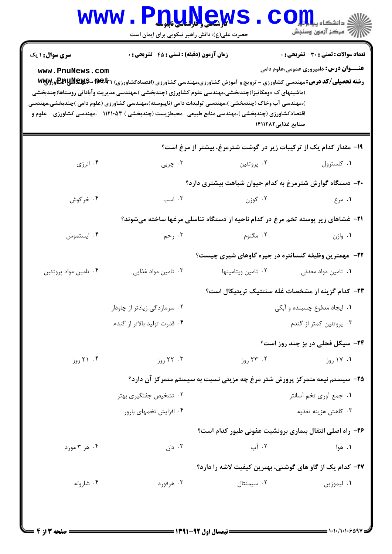| <b>WWW</b>                                                         | حضرت علی(ع): دانش راهبر نیکویی برای ایمان است                                                                                                                                                                                                                                                                                                                    | <b>TILLNGWS</b>    | CO<br>رآ مرڪز آزمون وسنڊش                                                                                                                                                                                                                              |  |  |
|--------------------------------------------------------------------|------------------------------------------------------------------------------------------------------------------------------------------------------------------------------------------------------------------------------------------------------------------------------------------------------------------------------------------------------------------|--------------------|--------------------------------------------------------------------------------------------------------------------------------------------------------------------------------------------------------------------------------------------------------|--|--|
| <b>سری سوال : ۱ یک</b><br>www.PnuNews.com                          | زمان آزمون (دقیقه) : تستی : 45 آتشریحی : 0<br>(ماشینهای ک ×ومکانیزا)چندبخشی،مهندسی علوم کشاورزی (چندبخشی )،مهندسی مدیریت وآبادانی روستاها(چندبخشی<br>)،مهندسی آب وخاک (چندبخشی )،مهندسی تولیدات دامی (ناپیوسته)،مهندسی کشاورزی (علوم دامی )چندبخشی،مهندسی<br>اقتصادکشاورزی (چندبخشی )،مهندسی منابع طبیعی -محیطزیست (چندبخشی ) ۱۱۲۱۰۵۳ - ،مهندسی کشاورزی - علوم و |                    | <b>تعداد سوالات : تستي : 30 ٪ تشريحي : 0</b><br><b>عنـــوان درس:</b> دامپروری عمومی،علوم دامی<br><b>رشته تحصیلی/کد درس:</b> مهندسی کشاورزی - ترویج و آموزش کشاورزی،مهندسی کشاورزی (اقتصادکشاورزی) <b>۱ WEY 3-EEUNEY.5 ورW</b> W<br>صنایع غذایی ۱۴۱۱۲۸۲ |  |  |
| ۱۹- مقدار کدام یک از ترکیبات زیر در گوشت شترمرغ، بیشتر از مرغ است؟ |                                                                                                                                                                                                                                                                                                                                                                  |                    |                                                                                                                                                                                                                                                        |  |  |
| ۰۴ انرژی                                                           | ۰۳ چربی                                                                                                                                                                                                                                                                                                                                                          | ۰۲ پروتئين         | ٠١ كلسترول                                                                                                                                                                                                                                             |  |  |
|                                                                    |                                                                                                                                                                                                                                                                                                                                                                  |                    | +۲- دستگاه گوارش شترمرغ به کدام حیوان شباهت بیشتری دارد؟                                                                                                                                                                                               |  |  |
| ۰۴ خرگوش                                                           | ۰۳ اسب                                                                                                                                                                                                                                                                                                                                                           | ۰۲ گوزن            | ۰۱ مرغ                                                                                                                                                                                                                                                 |  |  |
|                                                                    |                                                                                                                                                                                                                                                                                                                                                                  |                    | <b>۲۱</b> - غشاهای زیر پوسته تخم مرغ در کدام ناحیه از دستگاه تناسلی مرغها ساخته میشوند؟                                                                                                                                                                |  |  |
| ۰۴ ایستموس                                                         | ۰۳ رحم                                                                                                                                                                                                                                                                                                                                                           | ۰۲ مگنوم           | ۰۱ واژن                                                                                                                                                                                                                                                |  |  |
|                                                                    |                                                                                                                                                                                                                                                                                                                                                                  |                    | ۲۲– مهمترین وظیفه کنسانتره در جیره گاوهای شیری چیست؟                                                                                                                                                                                                   |  |  |
| ۰۴ تامین مواد پروتئین                                              | ۰۳ تامین مواد غذایی                                                                                                                                                                                                                                                                                                                                              | ۰۲ تامین ویتامینها | ۰۱ تامین مواد معدنی                                                                                                                                                                                                                                    |  |  |
|                                                                    |                                                                                                                                                                                                                                                                                                                                                                  |                    | <b>۲۳</b> - کدام گزینه از مشخصات غله سنتتیک تریتیکال است؟                                                                                                                                                                                              |  |  |
|                                                                    | ۰۲ سرمازدگی زیادتر از چاودار                                                                                                                                                                                                                                                                                                                                     |                    | ۰۱ ایجاد مدفوع چسبنده و آبکی                                                                                                                                                                                                                           |  |  |
|                                                                    | ۰۴ قدرت تولید بالاتر از گندم                                                                                                                                                                                                                                                                                                                                     |                    | ۰۳ پروتئین کمتر از گندم                                                                                                                                                                                                                                |  |  |
|                                                                    |                                                                                                                                                                                                                                                                                                                                                                  |                    | <b>۲۴-</b> سیکل فحلی در بز چند روز است؟                                                                                                                                                                                                                |  |  |
| ۰۴ (وز                                                             | ۰۳ ۲۲ روز                                                                                                                                                                                                                                                                                                                                                        | ۰۲ ۲۳ روز          | ۰۱ ۱۷ روز                                                                                                                                                                                                                                              |  |  |
|                                                                    |                                                                                                                                                                                                                                                                                                                                                                  |                    | ۲۵- سیستم نیمه متمرکز پرورش شتر مرغ چه مزیتی نسبت به سیستم متمرکز آن دارد؟                                                                                                                                                                             |  |  |
|                                                                    | ۰۲ تشخیص جفتگیری بهتر                                                                                                                                                                                                                                                                                                                                            |                    | ٠١. جمع أوري تخم أسانتر                                                                                                                                                                                                                                |  |  |
|                                                                    | ۰۴ افزایش تخمهای بارور                                                                                                                                                                                                                                                                                                                                           |                    | ۰۳ كاهش هزينه تغذيه                                                                                                                                                                                                                                    |  |  |
|                                                                    |                                                                                                                                                                                                                                                                                                                                                                  |                    | ۲۶- راه اصلی انتقال بیماری برونشیت عفونی طیور کدام است؟                                                                                                                                                                                                |  |  |
| ۰۴ هر ۳ مورد                                                       | ۰۳ دان                                                                                                                                                                                                                                                                                                                                                           | ۰۲ آب              | ۰۱ هوا                                                                                                                                                                                                                                                 |  |  |
|                                                                    |                                                                                                                                                                                                                                                                                                                                                                  |                    | ۲۷– کدام یک از گاو های گوشتی، بهترین کیفیت لاشه را دارد؟                                                                                                                                                                                               |  |  |
| ۰۴ شاروله                                                          | ۰۳ هرفورد                                                                                                                                                                                                                                                                                                                                                        | ۰۲ سیمنتال         | ٠١ ليموزين                                                                                                                                                                                                                                             |  |  |
|                                                                    |                                                                                                                                                                                                                                                                                                                                                                  |                    |                                                                                                                                                                                                                                                        |  |  |
|                                                                    |                                                                                                                                                                                                                                                                                                                                                                  |                    |                                                                                                                                                                                                                                                        |  |  |